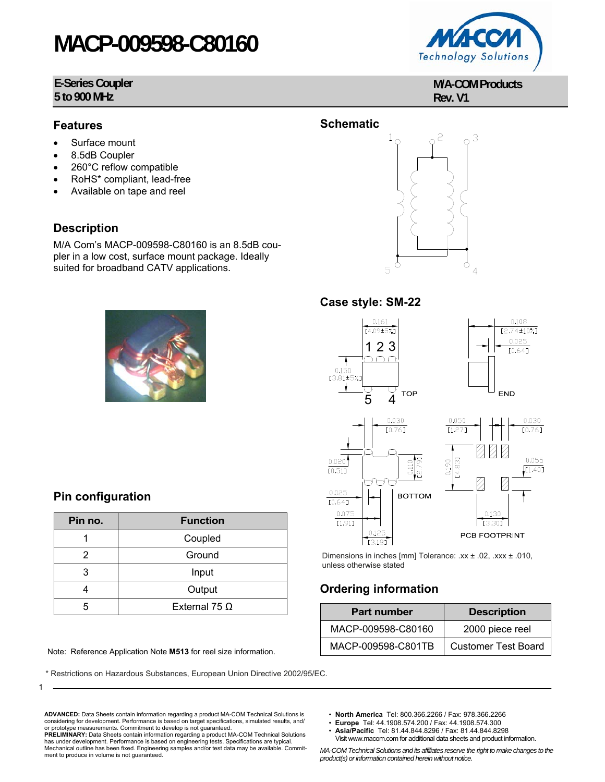# **MACP-009598-C80160**

#### **E-Series Coupler 5 to 900 MHz**



- Surface mount
- 8.5dB Coupler
- 260°C reflow compatible
- RoHS\* compliant, lead-free
- Available on tape and reel

#### **Description**

M/A Com's MACP-009598-C80160 is an 8.5dB coupler in a low cost, surface mount package. Ideally suited for broadband CATV applications.



| <b>MACC</b><br><b>YA</b>    |  |
|-----------------------------|--|
| <b>Technology Solutions</b> |  |

**M/A-COM Products Rev. V1**



#### **Case style: SM-22**



Dimensions in inches [mm] Tolerance: .xx ± .02, .xxx ± .010, unless otherwise stated

### **Ordering information**

| <b>Part number</b> | <b>Description</b>         |
|--------------------|----------------------------|
| MACP-009598-C80160 | 2000 piece reel            |
| MACP-009598-C801TB | <b>Customer Test Board</b> |

Note: Reference Application Note M513 for reel size information.

**Pin no.** Function 1 Coupled 2 | Ground 3 Input 4 Output 5 External 75 Ω

**Pin configuration**

1

\* Restrictions on Hazardous Substances, European Union Directive 2002/95/EC.

**ADVANCED:** Data Sheets contain information regarding a product MA-COM Technical Solutions is considering for development. Performance is based on target specifications, simulated results, and/ or prototype measurements. Commitment to develop is not guaranteed.

**PRELIMINARY:** Data Sheets contain information regarding a product MA-COM Technical Solutions has under development. Performance is based on engineering tests. Specifications are typical. Mechanical outline has been fixed. Engineering samples and/or test data may be available. Commitment to produce in volume is not guaranteed.

- **North America** Tel: 800.366.2266 / Fax: 978.366.2266
- **Europe** Tel: 44.1908.574.200 / Fax: 44.1908.574.300
- **Asia/Pacific** Tel: 81.44.844.8296 / Fax: 81.44.844.8298 Visit www.macom.com for additional data sheets and product information.

*MA-COM Technical Solutions and its affiliates reserve the right to make changes to the product(s) or information contained herein without notice.* 

**Schematic**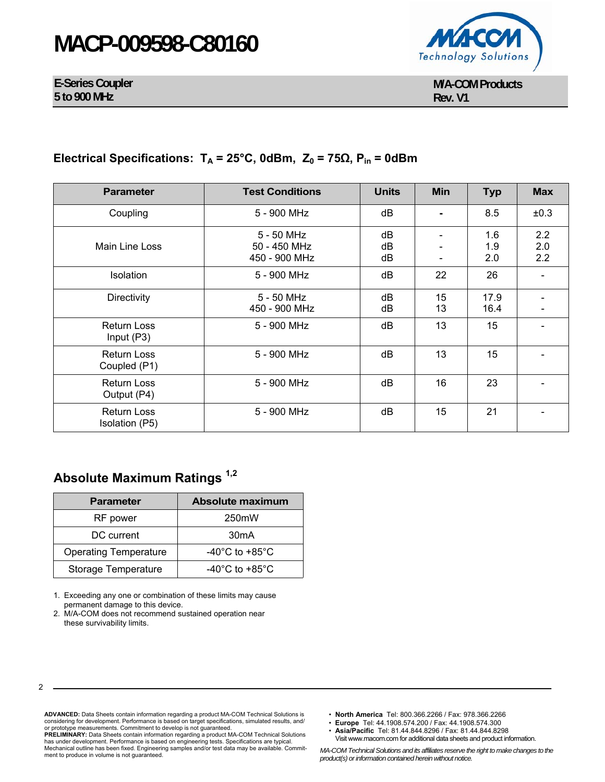# **MACP-009598-C80160**

Technology Solutions

**E-Series Coupler 5 to 900 MHz** 

**M/A-COM Products Rev. V1**

### **Electrical Specifications:**  $T_A = 25^\circ$ C, 0dBm,  $Z_0 = 75Ω$ ,  $P_{in} = 0d$ Bm

| <b>Parameter</b>                     | <b>Test Conditions</b>                      | <b>Units</b>   | <b>Min</b> | <b>Typ</b>        | <b>Max</b>        |
|--------------------------------------|---------------------------------------------|----------------|------------|-------------------|-------------------|
| Coupling                             | 5 - 900 MHz                                 | dB             |            | 8.5               | ±0.3              |
| Main Line Loss                       | 5 - 50 MHz<br>50 - 450 MHz<br>450 - 900 MHz | dB<br>dB<br>dB |            | 1.6<br>1.9<br>2.0 | 2.2<br>2.0<br>2.2 |
| <b>Isolation</b>                     | 5 - 900 MHz                                 | dB             | 22         | 26                |                   |
| Directivity                          | $5 - 50$ MHz<br>450 - 900 MHz               | dB<br>dB       | 15<br>13   | 17.9<br>16.4      |                   |
| <b>Return Loss</b><br>Input $(P3)$   | 5 - 900 MHz                                 | dB             | 13         | 15                |                   |
| <b>Return Loss</b><br>Coupled (P1)   | 5 - 900 MHz                                 | dB             | 13         | 15                |                   |
| <b>Return Loss</b><br>Output (P4)    | 5 - 900 MHz                                 | dB             | 16         | 23                |                   |
| <b>Return Loss</b><br>Isolation (P5) | 5 - 900 MHz                                 | dB             | 15         | 21                |                   |

## **Absolute Maximum Ratings 1,2**

| <b>Parameter</b>             | <b>Absolute maximum</b>              |
|------------------------------|--------------------------------------|
| RF power                     | 250mW                                |
| DC current                   | 30 <sub>m</sub> A                    |
| <b>Operating Temperature</b> | -40 $^{\circ}$ C to +85 $^{\circ}$ C |
| <b>Storage Temperature</b>   | $-40^{\circ}$ C to $+85^{\circ}$ C   |

1. Exceeding any one or combination of these limits may cause permanent damage to this device.

2. M/A-COM does not recommend sustained operation near these survivability limits.

**ADVANCED:** Data Sheets contain information regarding a product MA-COM Technical Solutions is considering for development. Performance is based on target specifications, simulated results, and/ or prototype measurements. Commitment to develop is not guaranteed.

**PRELIMINARY:** Data Sheets contain information regarding a product MA-COM Technical Solutions has under development. Performance is based on engineering tests. Specifications are typical. Mechanical outline has been fixed. Engineering samples and/or test data may be available. Commitment to produce in volume is not guaranteed.

- **North America** Tel: 800.366.2266 / Fax: 978.366.2266
- **Europe** Tel: 44.1908.574.200 / Fax: 44.1908.574.300
- **Asia/Pacific** Tel: 81.44.844.8296 / Fax: 81.44.844.8298 Visit www.macom.com for additional data sheets and product information.

*MA-COM Technical Solutions and its affiliates reserve the right to make changes to the product(s) or information contained herein without notice.*